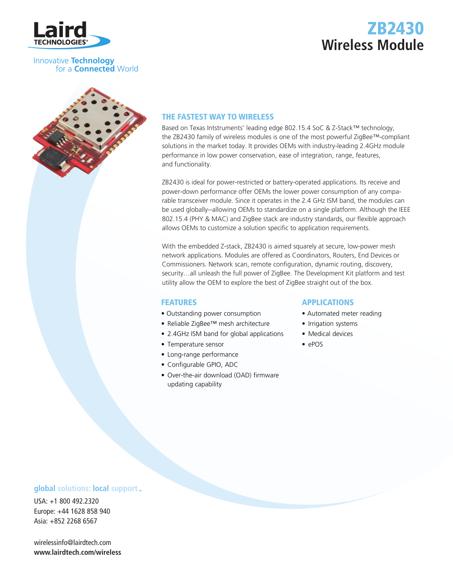

### Innovative **Technology** for a **Connected** World

# THE FASTEST WAY TO WIRELESS

Based on Texas Intstruments' leading edge 802.15.4 SoC & Z-Stack™ technology, the ZB2430 family of wireless modules is one of the most powerful ZigBee™-compliant solutions in the market today. It provides OEMs with industry-leading 2.4GHz module performance in low power conservation, ease of integration, range, features, and functionality.

ZB2430 is ideal for power-restricted or battery-operated applications. Its receive and power-down performance offer OEMs the lower power consumption of any comparable transceiver module. Since it operates in the 2.4 GHz ISM band, the modules can be used globally--allowing OEMs to standardize on a single platform. Although the IEEE 802.15.4 (PHY & MAC) and ZigBee stack are industry standards, our flexible approach allows OEMs to customize a solution specific to application requirements.

With the embedded Z-stack, ZB2430 is aimed squarely at secure, low-power mesh network applications. Modules are offered as Coordinators, Routers, End Devices or Commissioners. Network scan, remote configuration, dynamic routing, discovery, security…all unleash the full power of ZigBee. The Development Kit platform and test utility allow the OEM to explore the best of ZigBee straight out of the box.

### **FEATURES**

- Outstanding power consumption
- Reliable ZigBee™ mesh architecture
- 2.4GHz ISM band for global applications
- Temperature sensor
- Long-range performance
- Configurable GPIO, ADC
- Over-the-air download (OAD) firmware updating capability

### **APPLICATIONS**

- Automated meter reading
- Irrigation systems
- Medical devices
- ePOS

## **global** solutions: local support ...

USA: +1 800 492.2320 Europe: +44 1628 858 940 Asia: +852 2268 6567

wirelessinfo@lairdtech.com **www.lairdtech.com/wireless**